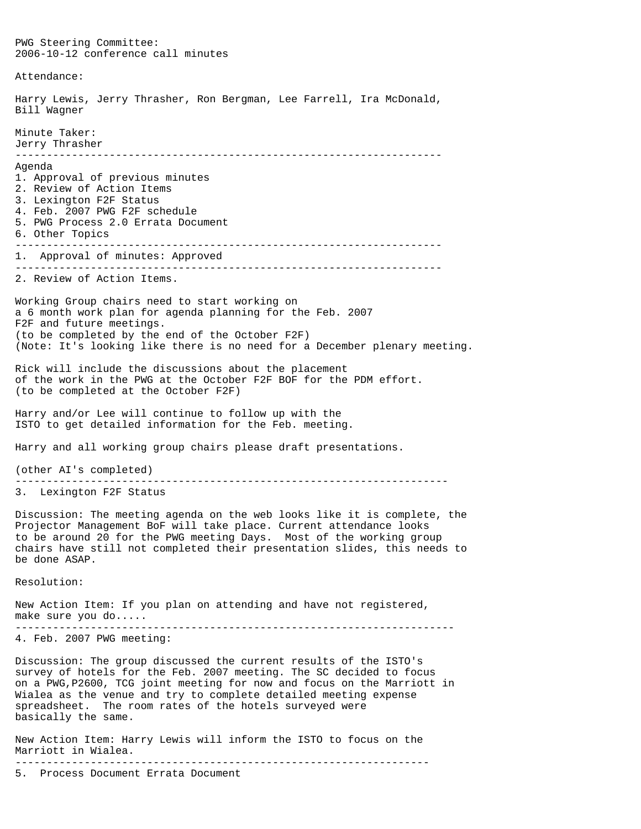PWG Steering Committee: 2006-10-12 conference call minutes Attendance: Harry Lewis, Jerry Thrasher, Ron Bergman, Lee Farrell, Ira McDonald, Bill Wagner Minute Taker: Jerry Thrasher -------------------------------------------------------------------- Agenda 1. Approval of previous minutes 2. Review of Action Items 3. Lexington F2F Status 4. Feb. 2007 PWG F2F schedule 5. PWG Process 2.0 Errata Document 6. Other Topics -------------------------------------------------------------------- 1. Approval of minutes: Approved -------------------------------------------------------------------- 2. Review of Action Items. Working Group chairs need to start working on a 6 month work plan for agenda planning for the Feb. 2007 F2F and future meetings. (to be completed by the end of the October F2F) (Note: It's looking like there is no need for a December plenary meeting. Rick will include the discussions about the placement of the work in the PWG at the October F2F BOF for the PDM effort. (to be completed at the October F2F) Harry and/or Lee will continue to follow up with the ISTO to get detailed information for the Feb. meeting. Harry and all working group chairs please draft presentations. (other AI's completed) --------------------------------------------------------------------- 3. Lexington F2F Status Discussion: The meeting agenda on the web looks like it is complete, the Projector Management BoF will take place. Current attendance looks to be around 20 for the PWG meeting Days. Most of the working group chairs have still not completed their presentation slides, this needs to be done ASAP. Resolution: New Action Item: If you plan on attending and have not registered, make sure you do..... ---------------------------------------------------------------------- 4. Feb. 2007 PWG meeting: Discussion: The group discussed the current results of the ISTO's survey of hotels for the Feb. 2007 meeting. The SC decided to focus on a PWG,P2600, TCG joint meeting for now and focus on the Marriott in Wialea as the venue and try to complete detailed meeting expense spreadsheet. The room rates of the hotels surveyed were basically the same. New Action Item: Harry Lewis will inform the ISTO to focus on the Marriott in Wialea. ------------------------------------------------------------------

5. Process Document Errata Document